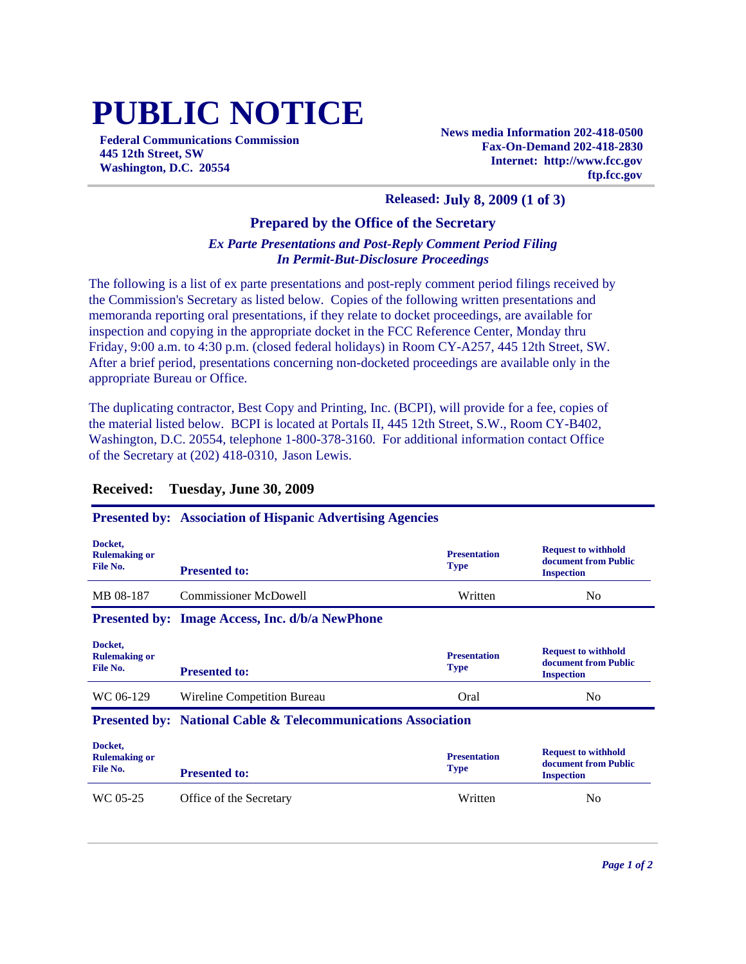# **PUBLIC NOTICE**

**Federal Communications Commission 445 12th Street, SW Washington, D.C. 20554**

**News media Information 202-418-0500 Fax-On-Demand 202-418-2830 Internet: http://www.fcc.gov ftp.fcc.gov**

#### **Released: July 8, 2009 (1 of 3)**

### **Prepared by the Office of the Secretary**

### *Ex Parte Presentations and Post-Reply Comment Period Filing In Permit-But-Disclosure Proceedings*

The following is a list of ex parte presentations and post-reply comment period filings received by the Commission's Secretary as listed below. Copies of the following written presentations and memoranda reporting oral presentations, if they relate to docket proceedings, are available for inspection and copying in the appropriate docket in the FCC Reference Center, Monday thru Friday, 9:00 a.m. to 4:30 p.m. (closed federal holidays) in Room CY-A257, 445 12th Street, SW. After a brief period, presentations concerning non-docketed proceedings are available only in the appropriate Bureau or Office.

The duplicating contractor, Best Copy and Printing, Inc. (BCPI), will provide for a fee, copies of the material listed below. BCPI is located at Portals II, 445 12th Street, S.W., Room CY-B402, Washington, D.C. 20554, telephone 1-800-378-3160. For additional information contact Office of the Secretary at (202) 418-0310, Jason Lewis.

| Docket,<br><b>Rulemaking or</b><br>File No. | <b>Presented to:</b>                                                     | <b>Presentation</b><br><b>Type</b> | <b>Request to withhold</b><br>document from Public<br><b>Inspection</b> |
|---------------------------------------------|--------------------------------------------------------------------------|------------------------------------|-------------------------------------------------------------------------|
| MB 08-187                                   | Commissioner McDowell                                                    | Written                            | N <sub>0</sub>                                                          |
|                                             | <b>Presented by: Image Access, Inc. d/b/a NewPhone</b>                   |                                    |                                                                         |
| Docket,<br><b>Rulemaking or</b><br>File No. | <b>Presented to:</b>                                                     | <b>Presentation</b><br><b>Type</b> | <b>Request to withhold</b><br>document from Public<br><b>Inspection</b> |
| WC 06-129                                   | Wireline Competition Bureau                                              | Oral                               | N <sub>0</sub>                                                          |
|                                             | <b>Presented by: National Cable &amp; Telecommunications Association</b> |                                    |                                                                         |

## **Received: Tuesday, June 30, 2009**

**Presented by: Association of Hispanic Advertising Agencies**

| Docket,<br><b>Rulemaking or</b><br>File No. | <b>Presented to:</b>    | <b>Presentation</b><br><b>Type</b> | <b>Request to withhold</b><br>document from Public<br><b>Inspection</b> |
|---------------------------------------------|-------------------------|------------------------------------|-------------------------------------------------------------------------|
| WC 05-25                                    | Office of the Secretary | Written                            | No                                                                      |